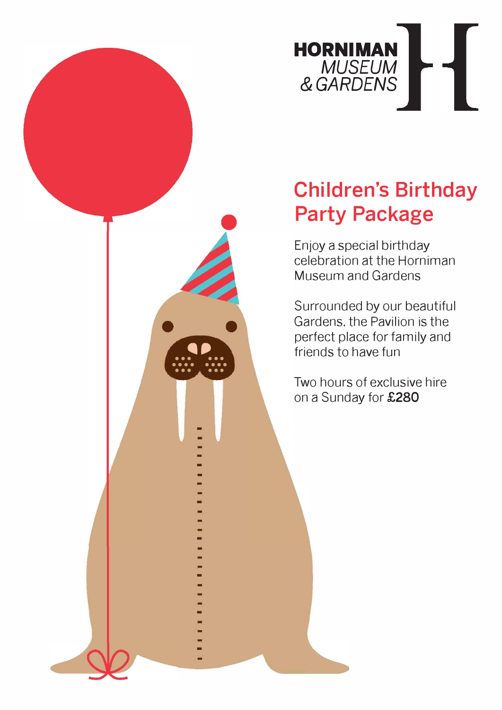

# **Children's Birthday Party Package**

Enjoy a special birthday celebration at the Horniman Museum and Gardens

Surrounded by our beautiful Gardens, the Pavilion is the perfect place for family and friends to have fun

Two hours of exclusive hire on a Sunday for £280

• •• • • • • • ••• • • • • ••

 $\bullet$ 

-

- -

-<br>-<br>-

-

-

-

-<br>-<br>-

-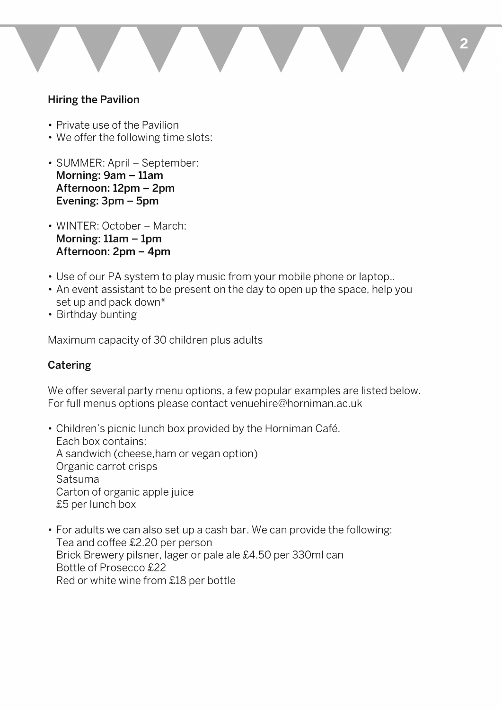

## **Hiring the Pavilion**

- Private use of the Pavilion
- We offer the following time slots:
- SUMMER: April September: **Morning: 9am - 11am Afternoon: 12pm - 2pm Evening: 3pm - 5pm**
- WINTER: October March: **Morning: 11am - 1pm Afternoon: 2pm - 4pm**
- Use of our PA system to play music from your mobile phone or laptop..
- An event assistant to be present on the day to open up the space, help you set up and pack down\*
- Birthday bunting

Maximum capacity of 30 children plus adults

## **Catering**

We offer several party menu options, a few popular examples are listed below. For full menus options please contact [venuehire@horniman.ac.uk](mailto:venuehire@horniman.ac.uk) 

• Children's picnic lunch box provided by the Horniman Cate. Each box contains: A sandwich (cheese.ham or vegan option) Organic carrot crisps Satsuma Carton of organic apple juice £5 per lunch box

• For adults we can also set up a cash bar. We can provide the following: Tea and coffee £2.20 per person Brick Brewery pilsner, lager or pale ale £4.50 per 330ml can Bottle of Prosecco £22 Red or white wine from £18 per bottle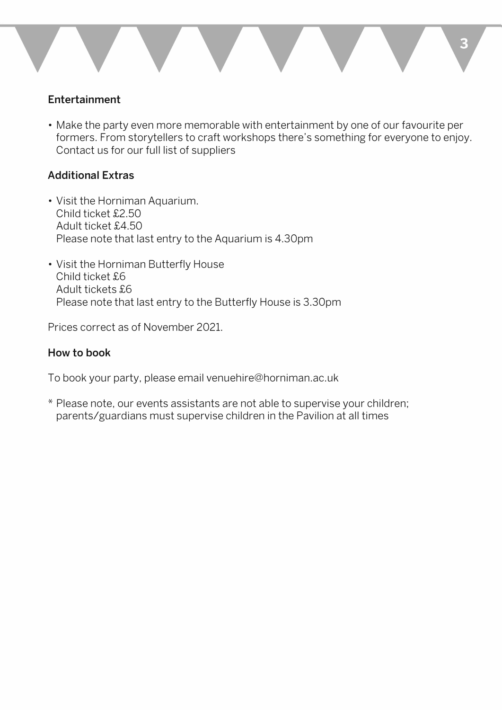#### **Entertainment**

**• Make the party even more memorable with entertainment by one of our favourite per formers. From storytellers to craft workshops there's something for everyone to enjoy. Contact us for our full list of suppliers** 

### **Additional Extras**

- **Visit the Horniman Aquarium. Child ticket £2.50 Adult ticket £4.50 Please note that last entry to the Aquarium is 4.30pm**
- **Visit the Horniman Butterfly House Child ticket £6 Adult tickets £6 Please note that last entry to the Butterfly House is 3.30pm**

**Prices correct as of November 2021.** 

### **How to book**

**To book your party, please email [venuehire@horniman.ac.uk](mailto:venuehire@horniman.ac.uk)** 

\* **Please note, our events assistants are not able to supervise your children; parents/guardians must supervise children in the Pavilion at all times**